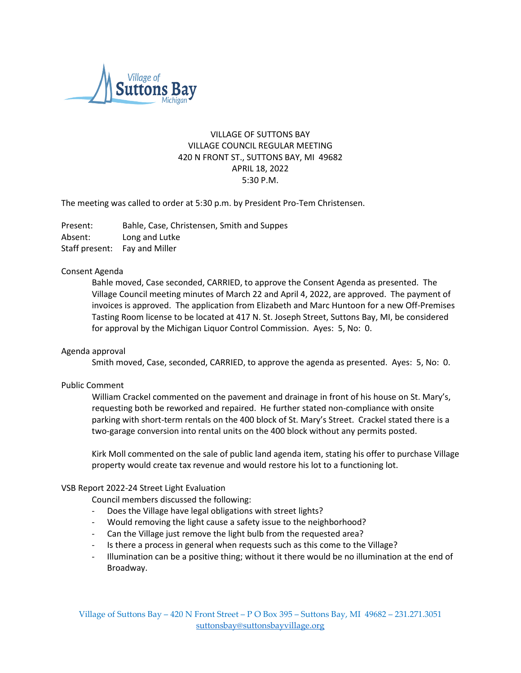

# VILLAGE OF SUTTONS BAY VILLAGE COUNCIL REGULAR MEETING 420 N FRONT ST., SUTTONS BAY, MI 49682 APRIL 18, 2022 5:30 P.M.

The meeting was called to order at 5:30 p.m. by President Pro-Tem Christensen.

Present: Bahle, Case, Christensen, Smith and Suppes Absent: Long and Lutke Staff present: Fay and Miller

## Consent Agenda

Bahle moved, Case seconded, CARRIED, to approve the Consent Agenda as presented. The Village Council meeting minutes of March 22 and April 4, 2022, are approved. The payment of invoices is approved. The application from Elizabeth and Marc Huntoon for a new Off-Premises Tasting Room license to be located at 417 N. St. Joseph Street, Suttons Bay, MI, be considered for approval by the Michigan Liquor Control Commission. Ayes: 5, No: 0.

#### Agenda approval

Smith moved, Case, seconded, CARRIED, to approve the agenda as presented. Ayes: 5, No: 0.

#### Public Comment

William Crackel commented on the pavement and drainage in front of his house on St. Mary's, requesting both be reworked and repaired. He further stated non-compliance with onsite parking with short-term rentals on the 400 block of St. Mary's Street. Crackel stated there is a two-garage conversion into rental units on the 400 block without any permits posted.

Kirk Moll commented on the sale of public land agenda item, stating his offer to purchase Village property would create tax revenue and would restore his lot to a functioning lot.

#### VSB Report 2022-24 Street Light Evaluation

Council members discussed the following:

- Does the Village have legal obligations with street lights?
- Would removing the light cause a safety issue to the neighborhood?
- Can the Village just remove the light bulb from the requested area?
- Is there a process in general when requests such as this come to the Village?
- Illumination can be a positive thing; without it there would be no illumination at the end of Broadway.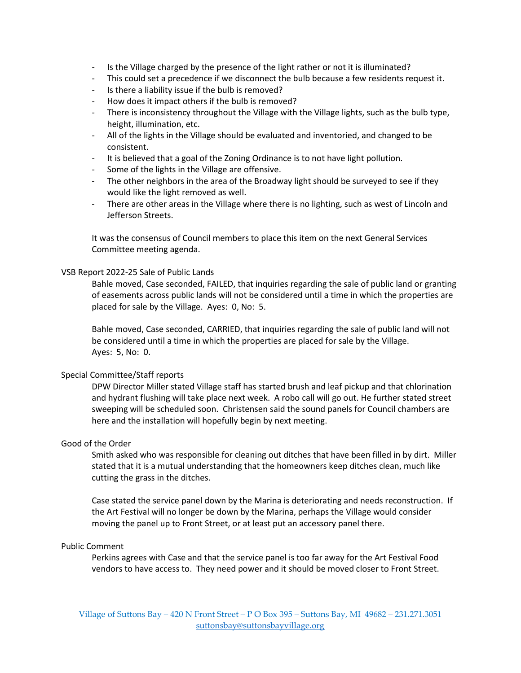- Is the Village charged by the presence of the light rather or not it is illuminated?
- This could set a precedence if we disconnect the bulb because a few residents request it.
- Is there a liability issue if the bulb is removed?
- How does it impact others if the bulb is removed?
- There is inconsistency throughout the Village with the Village lights, such as the bulb type, height, illumination, etc.
- All of the lights in the Village should be evaluated and inventoried, and changed to be consistent.
- It is believed that a goal of the Zoning Ordinance is to not have light pollution.
- Some of the lights in the Village are offensive.
- The other neighbors in the area of the Broadway light should be surveyed to see if they would like the light removed as well.
- There are other areas in the Village where there is no lighting, such as west of Lincoln and Jefferson Streets.

It was the consensus of Council members to place this item on the next General Services Committee meeting agenda.

## VSB Report 2022-25 Sale of Public Lands

Bahle moved, Case seconded, FAILED, that inquiries regarding the sale of public land or granting of easements across public lands will not be considered until a time in which the properties are placed for sale by the Village. Ayes: 0, No: 5.

Bahle moved, Case seconded, CARRIED, that inquiries regarding the sale of public land will not be considered until a time in which the properties are placed for sale by the Village. Ayes: 5, No: 0.

## Special Committee/Staff reports

DPW Director Miller stated Village staff has started brush and leaf pickup and that chlorination and hydrant flushing will take place next week. A robo call will go out. He further stated street sweeping will be scheduled soon. Christensen said the sound panels for Council chambers are here and the installation will hopefully begin by next meeting.

#### Good of the Order

Smith asked who was responsible for cleaning out ditches that have been filled in by dirt. Miller stated that it is a mutual understanding that the homeowners keep ditches clean, much like cutting the grass in the ditches.

Case stated the service panel down by the Marina is deteriorating and needs reconstruction. If the Art Festival will no longer be down by the Marina, perhaps the Village would consider moving the panel up to Front Street, or at least put an accessory panel there.

## Public Comment

Perkins agrees with Case and that the service panel is too far away for the Art Festival Food vendors to have access to. They need power and it should be moved closer to Front Street.